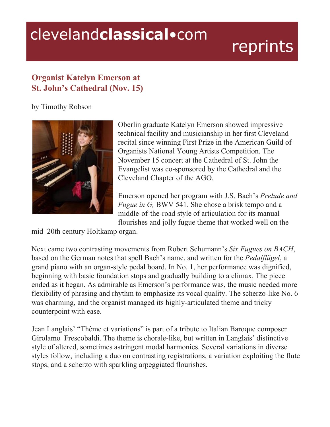## clevelandclassical.com

## reprints

## **Organist Katelyn Emerson at St. John's Cathedral (Nov. 15)**

by Timothy Robson



Oberlin graduate Katelyn Emerson showed impressive technical facility and musicianship in her first Cleveland recital since winning First Prize in the American Guild of Organists National Young Artists Competition. The November 15 concert at the Cathedral of St. John the Evangelist was co-sponsored by the Cathedral and the Cleveland Chapter of the AGO.

Emerson opened her program with J.S. Bach's *Prelude and Fugue in G, BWV 541. She chose a brisk tempo and a* middle-of-the-road style of articulation for its manual flourishes and jolly fugue theme that worked well on the

mid–20th century Holtkamp organ.

Next came two contrasting movements from Robert Schumann's *Six Fugues on BACH*, based on the German notes that spell Bach's name, and written for the *Pedalflügel*, a grand piano with an organ-style pedal board. In No. 1, her performance was dignified, beginning with basic foundation stops and gradually building to a climax. The piece ended as it began. As admirable as Emerson's performance was, the music needed more flexibility of phrasing and rhythm to emphasize its vocal quality. The scherzo-like No. 6 was charming, and the organist managed its highly-articulated theme and tricky counterpoint with ease.

Jean Langlais' "Thème et variations" is part of a tribute to Italian Baroque composer Girolamo Frescobaldi. The theme is chorale-like, but written in Langlais' distinctive style of altered, sometimes astringent modal harmonies. Several variations in diverse styles follow, including a duo on contrasting registrations, a variation exploiting the flute stops, and a scherzo with sparkling arpeggiated flourishes.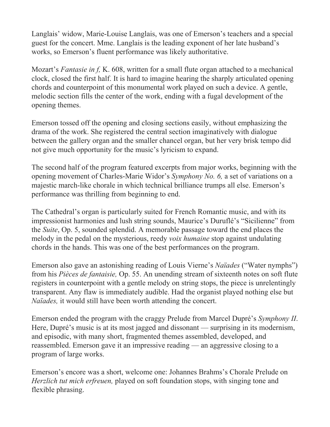Langlais' widow, Marie-Louise Langlais, was one of Emerson's teachers and a special guest for the concert. Mme. Langlais is the leading exponent of her late husband's works, so Emerson's fluent performance was likely authoritative.

Mozart's *Fantasie in f,* K. 608, written for a small flute organ attached to a mechanical clock, closed the first half. It is hard to imagine hearing the sharply articulated opening chords and counterpoint of this monumental work played on such a device. A gentle, melodic section fills the center of the work, ending with a fugal development of the opening themes.

Emerson tossed off the opening and closing sections easily, without emphasizing the drama of the work. She registered the central section imaginatively with dialogue between the gallery organ and the smaller chancel organ, but her very brisk tempo did not give much opportunity for the music's lyricism to expand.

The second half of the program featured excerpts from major works, beginning with the opening movement of Charles-Marie Widor's *Symphony No. 6,* a set of variations on a majestic march-like chorale in which technical brilliance trumps all else. Emerson's performance was thrilling from beginning to end.

The Cathedral's organ is particularly suited for French Romantic music, and with its impressionist harmonies and lush string sounds, Maurice's Duruflé's "Sicilienne" from the *Suite*, Op. 5, sounded splendid. A memorable passage toward the end places the melody in the pedal on the mysterious, reedy *voix humaine* stop against undulating chords in the hands. This was one of the best performances on the program.

Emerson also gave an astonishing reading of Louis Vierne's *Naïades* ("Water nymphs") from his *Pièces de fantaisie,* Op. 55. An unending stream of sixteenth notes on soft flute registers in counterpoint with a gentle melody on string stops, the piece is unrelentingly transparent. Any flaw is immediately audible. Had the organist played nothing else but *Naïades,* it would still have been worth attending the concert.

Emerson ended the program with the craggy Prelude from Marcel Dupré's *Symphony II*. Here, Dupré's music is at its most jagged and dissonant — surprising in its modernism, and episodic, with many short, fragmented themes assembled, developed, and reassembled. Emerson gave it an impressive reading — an aggressive closing to a program of large works.

Emerson's encore was a short, welcome one: Johannes Brahms's Chorale Prelude on *Herzlich tut mich erfreuen,* played on soft foundation stops, with singing tone and flexible phrasing.